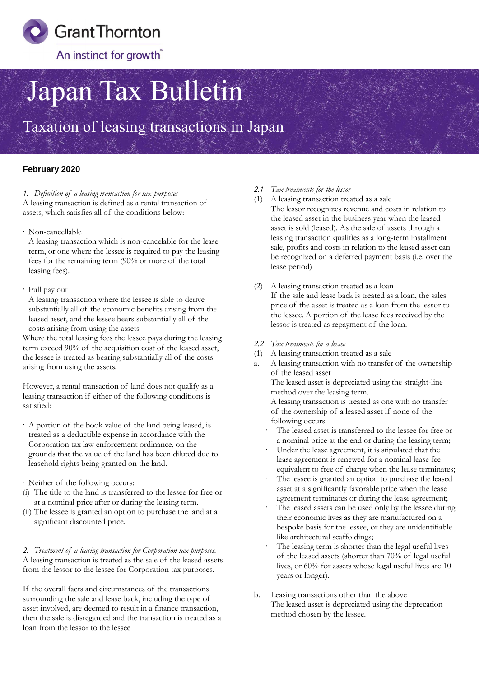

# Japan Tax Bulletin

Taxation of leasing transactions in Japan

### **February 2020**

#### *1. Definition of a leasing transaction for tax purposes*

A leasing transaction is defined as a rental transaction of assets, which satisfies all of the conditions below:

· Non-cancellable

A leasing transaction which is non-cancelable for the lease term, or one where the lessee is required to pay the leasing fees for the remaining term (90% or more of the total leasing fees).

#### · Full pay out

A leasing transaction where the lessee is able to derive substantially all of the economic benefits arising from the leased asset, and the lessee bears substantially all of the costs arising from using the assets.

Where the total leasing fees the lessee pays during the leasing term exceed 90% of the acquisition cost of the leased asset, the lessee is treated as bearing substantially all of the costs arising from using the assets.

However, a rental transaction of land does not qualify as a leasing transaction if either of the following conditions is satisfied:

· A portion of the book value of the land being leased, is treated as a deductible expense in accordance with the Corporation tax law enforcement ordinance, on the grounds that the value of the land has been diluted due to leasehold rights being granted on the land.

· Neither of the following occurs:

- (i) The title to the land is transferred to the lessee for free or at a nominal price after or during the leasing term.
- (ii) The lessee is granted an option to purchase the land at a significant discounted price.

*2. Treatment of a leasing transaction for Corporation tax purposes.* A leasing transaction is treated as the sale of the leased assets from the lessor to the lessee for Corporation tax purposes.

If the overall facts and circumstances of the transactions surrounding the sale and lease back, including the type of asset involved, are deemed to result in a finance transaction, then the sale is disregarded and the transaction is treated as a loan from the lessor to the lessee

- *2.1 Tax treatments for the lessor*
- (1) A leasing transaction treated as a sale The lessor recognizes revenue and costs in relation to the leased asset in the business year when the leased asset is sold (leased). As the sale of assets through a leasing transaction qualifies as a long-term installment sale, profits and costs in relation to the leased asset can be recognized on a deferred payment basis (i.e. over the lease period)
- (2) A leasing transaction treated as a loan If the sale and lease back is treated as a loan, the sales price of the asset is treated as a loan from the lessor to the lessee. A portion of the lease fees received by the lessor is treated as repayment of the loan.
- *2.2 Tax treatments for a lessee*
- (1) A leasing transaction treated as a sale
- a. A leasing transaction with no transfer of the ownership of the leased asset The leased asset is depreciated using the straight-line method over the leasing term. A leasing transaction is treated as one with no transfer of the ownership of a leased asset if none of the following occurs: The leased asset is transferred to the lessee for free or
	- a nominal price at the end or during the leasing term;
	- Under the lease agreement, it is stipulated that the lease agreement is renewed for a nominal lease fee equivalent to free of charge when the lease terminates;
	- The lessee is granted an option to purchase the leased asset at a significantly favorable price when the lease agreement terminates or during the lease agreement;
	- The leased assets can be used only by the lessee during their economic lives as they are manufactured on a bespoke basis for the lessee, or they are unidentifiable like architectural scaffoldings;
	- The leasing term is shorter than the legal useful lives of the leased assets (shorter than 70% of legal useful lives, or 60% for assets whose legal useful lives are 10 years or longer).
- b. Leasing transactions other than the above The leased asset is depreciated using the deprecation method chosen by the lessee.